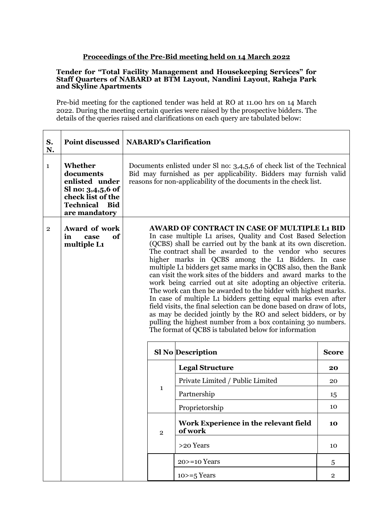## **Proceedings of the Pre-Bid meeting held on 14 March 2022**

## **Tender for "Total Facility Management and Housekeeping Services" for Staff Quarters of NABARD at BTM Layout, Nandini Layout, Raheja Park and Skyline Apartments**

Pre-bid meeting for the captioned tender was held at RO at 11.00 hrs on 14 March 2022. During the meeting certain queries were raised by the prospective bidders. The details of the queries raised and clarifications on each query are tabulated below:

| S.<br>N.     |                                                                                                                              | Point discussed   NABARD's Clarification                                                                                                                                                                         |                                                                                                                                                                                                                                                                                                                                                                                                                                                                                                                                                                                                                                                                                                                                                                                                                                                                                                                   |                |  |  |  |
|--------------|------------------------------------------------------------------------------------------------------------------------------|------------------------------------------------------------------------------------------------------------------------------------------------------------------------------------------------------------------|-------------------------------------------------------------------------------------------------------------------------------------------------------------------------------------------------------------------------------------------------------------------------------------------------------------------------------------------------------------------------------------------------------------------------------------------------------------------------------------------------------------------------------------------------------------------------------------------------------------------------------------------------------------------------------------------------------------------------------------------------------------------------------------------------------------------------------------------------------------------------------------------------------------------|----------------|--|--|--|
| $\mathbf{1}$ | Whether<br>documents<br>enlisted under<br>Sl no: 3,4,5,6 of<br>check list of the<br><b>Technical</b><br>Bid<br>are mandatory | Documents enlisted under SI no: 3,4,5,6 of check list of the Technical<br>Bid may furnished as per applicability. Bidders may furnish valid<br>reasons for non-applicability of the documents in the check list. |                                                                                                                                                                                                                                                                                                                                                                                                                                                                                                                                                                                                                                                                                                                                                                                                                                                                                                                   |                |  |  |  |
| $\mathbf{2}$ | Award of work<br>of<br>in<br>case<br>multiple L1                                                                             |                                                                                                                                                                                                                  | <b>AWARD OF CONTRACT IN CASE OF MULTIPLE L1 BID</b><br>In case multiple L1 arises, Quality and Cost Based Selection<br>(QCBS) shall be carried out by the bank at its own discretion.<br>The contract shall be awarded to the vendor who secures<br>higher marks in QCBS among the L1 Bidders. In case<br>multiple L1 bidders get same marks in QCBS also, then the Bank<br>can visit the work sites of the bidders and award marks to the<br>work being carried out at site adopting an objective criteria.<br>The work can then be awarded to the bidder with highest marks.<br>In case of multiple L1 bidders getting equal marks even after<br>field visits, the final selection can be done based on draw of lots,<br>as may be decided jointly by the RO and select bidders, or by<br>pulling the highest number from a box containing 30 numbers.<br>The format of QCBS is tabulated below for information |                |  |  |  |
|              |                                                                                                                              |                                                                                                                                                                                                                  | <b>Sl No Description</b><br><b>Score</b>                                                                                                                                                                                                                                                                                                                                                                                                                                                                                                                                                                                                                                                                                                                                                                                                                                                                          |                |  |  |  |
|              |                                                                                                                              |                                                                                                                                                                                                                  | <b>Legal Structure</b>                                                                                                                                                                                                                                                                                                                                                                                                                                                                                                                                                                                                                                                                                                                                                                                                                                                                                            | 20             |  |  |  |
|              |                                                                                                                              |                                                                                                                                                                                                                  | Private Limited / Public Limited                                                                                                                                                                                                                                                                                                                                                                                                                                                                                                                                                                                                                                                                                                                                                                                                                                                                                  | 20             |  |  |  |
|              |                                                                                                                              | $\mathbf{1}$                                                                                                                                                                                                     | Partnership                                                                                                                                                                                                                                                                                                                                                                                                                                                                                                                                                                                                                                                                                                                                                                                                                                                                                                       | 15             |  |  |  |
|              |                                                                                                                              |                                                                                                                                                                                                                  | Proprietorship                                                                                                                                                                                                                                                                                                                                                                                                                                                                                                                                                                                                                                                                                                                                                                                                                                                                                                    | 10             |  |  |  |
|              |                                                                                                                              |                                                                                                                                                                                                                  | Work Experience in the relevant field<br>of work<br>$\overline{2}$                                                                                                                                                                                                                                                                                                                                                                                                                                                                                                                                                                                                                                                                                                                                                                                                                                                |                |  |  |  |
|              |                                                                                                                              |                                                                                                                                                                                                                  | >20 Years                                                                                                                                                                                                                                                                                                                                                                                                                                                                                                                                                                                                                                                                                                                                                                                                                                                                                                         | 10             |  |  |  |
|              |                                                                                                                              |                                                                                                                                                                                                                  | $20$ > = 10 Years                                                                                                                                                                                                                                                                                                                                                                                                                                                                                                                                                                                                                                                                                                                                                                                                                                                                                                 | 5              |  |  |  |
|              |                                                                                                                              |                                                                                                                                                                                                                  | $10>=5$ Years                                                                                                                                                                                                                                                                                                                                                                                                                                                                                                                                                                                                                                                                                                                                                                                                                                                                                                     | $\overline{2}$ |  |  |  |